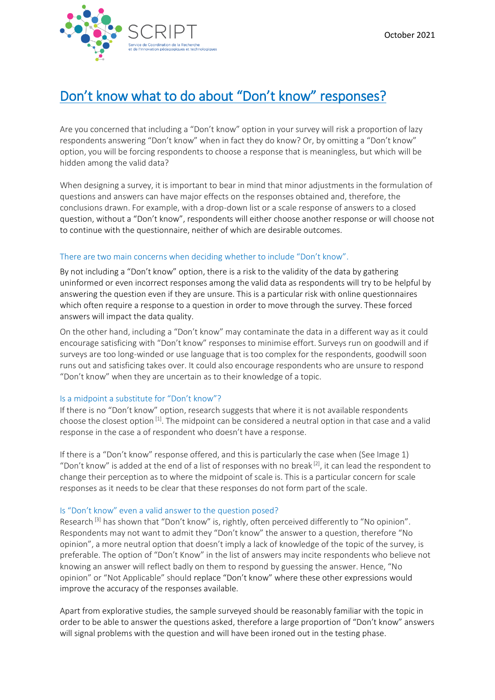

# Don't know what to do about "Don't know" responses?

Are you concerned that including a "Don't know" option in your survey will risk a proportion of lazy respondents answering "Don't know" when in fact they do know? Or, by omitting a "Don't know" option, you will be forcing respondents to choose a response that is meaningless, but which will be hidden among the valid data?

When designing a survey, it is important to bear in mind that minor adjustments in the formulation of questions and answers can have major effects on the responses obtained and, therefore, the conclusions drawn. For example, with a drop-down list or a scale response of answers to a closed question, without a "Don't know", respondents will either choose another response or will choose not to continue with the questionnaire, neither of which are desirable outcomes.

## There are two main concerns when deciding whether to include "Don't know".

By not including a "Don't know" option, there is a risk to the validity of the data by gathering uninformed or even incorrect responses among the valid data as respondents will try to be helpful by answering the question even if they are unsure. This is a particular risk with online questionnaires which often require a response to a question in order to move through the survey. These forced answers will impact the data quality.

On the other hand, including a "Don't know" may contaminate the data in a different way as it could encourage satisficing with "Don't know" responses to minimise effort. Surveys run on goodwill and if surveys are too long-winded or use language that is too complex for the respondents, goodwill soon runs out and satisficing takes over. It could also encourage respondents who are unsure to respond "Don't know" when they are uncertain as to their knowledge of a topic.

### Is a midpoint a substitute for "Don't know"?

If there is no "Don't know" option, research suggests that where it is not available respondents choose the closest option [1]. The midpoint can be considered a neutral option in that case and a valid response in the case a of respondent who doesn't have a response.

If there is a "Don't know" response offered, and this is particularly the case when (See Image 1) "Don't know" is added at the end of a list of responses with no break  $[2]$ , it can lead the respondent to change their perception as to where the midpoint of scale is. This is a particular concern for scale responses as it needs to be clear that these responses do not form part of the scale.

### Is "Don't know" even a valid answer to the question posed?

Research<sup>[3]</sup> has shown that "Don't know" is, rightly, often perceived differently to "No opinion". Respondents may not want to admit they "Don't know" the answer to a question, therefore "No opinion", a more neutral option that doesn't imply a lack of knowledge of the topic of the survey, is preferable. The option of "Don't Know" in the list of answers may incite respondents who believe not knowing an answer will reflect badly on them to respond by guessing the answer. Hence, "No opinion" or "Not Applicable" should replace "Don't know" where these other expressions would improve the accuracy of the responses available.

Apart from explorative studies, the sample surveyed should be reasonably familiar with the topic in order to be able to answer the questions asked, therefore a large proportion of "Don't know" answers will signal problems with the question and will have been ironed out in the testing phase.